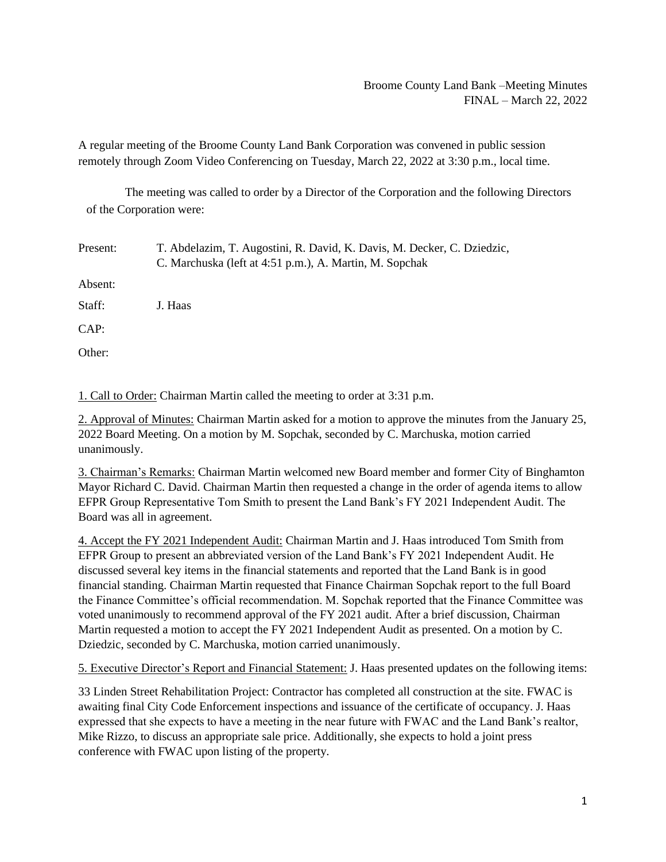## Broome County Land Bank –Meeting Minutes FINAL – March 22, 2022

A regular meeting of the Broome County Land Bank Corporation was convened in public session remotely through Zoom Video Conferencing on Tuesday, March 22, 2022 at 3:30 p.m., local time.

The meeting was called to order by a Director of the Corporation and the following Directors of the Corporation were:

Present: T. Abdelazim, T. Augostini, R. David, K. Davis, M. Decker, C. Dziedzic, C. Marchuska (left at 4:51 p.m.), A. Martin, M. Sopchak Absent: Staff: J. Haas CAP: Other:

1. Call to Order: Chairman Martin called the meeting to order at 3:31 p.m.

2. Approval of Minutes: Chairman Martin asked for a motion to approve the minutes from the January 25, 2022 Board Meeting. On a motion by M. Sopchak, seconded by C. Marchuska, motion carried unanimously.

3. Chairman's Remarks: Chairman Martin welcomed new Board member and former City of Binghamton Mayor Richard C. David. Chairman Martin then requested a change in the order of agenda items to allow EFPR Group Representative Tom Smith to present the Land Bank's FY 2021 Independent Audit. The Board was all in agreement.

4. Accept the FY 2021 Independent Audit: Chairman Martin and J. Haas introduced Tom Smith from EFPR Group to present an abbreviated version of the Land Bank's FY 2021 Independent Audit. He discussed several key items in the financial statements and reported that the Land Bank is in good financial standing. Chairman Martin requested that Finance Chairman Sopchak report to the full Board the Finance Committee's official recommendation. M. Sopchak reported that the Finance Committee was voted unanimously to recommend approval of the FY 2021 audit. After a brief discussion, Chairman Martin requested a motion to accept the FY 2021 Independent Audit as presented. On a motion by C. Dziedzic, seconded by C. Marchuska, motion carried unanimously.

5. Executive Director's Report and Financial Statement: J. Haas presented updates on the following items:

33 Linden Street Rehabilitation Project: Contractor has completed all construction at the site. FWAC is awaiting final City Code Enforcement inspections and issuance of the certificate of occupancy. J. Haas expressed that she expects to have a meeting in the near future with FWAC and the Land Bank's realtor, Mike Rizzo, to discuss an appropriate sale price. Additionally, she expects to hold a joint press conference with FWAC upon listing of the property.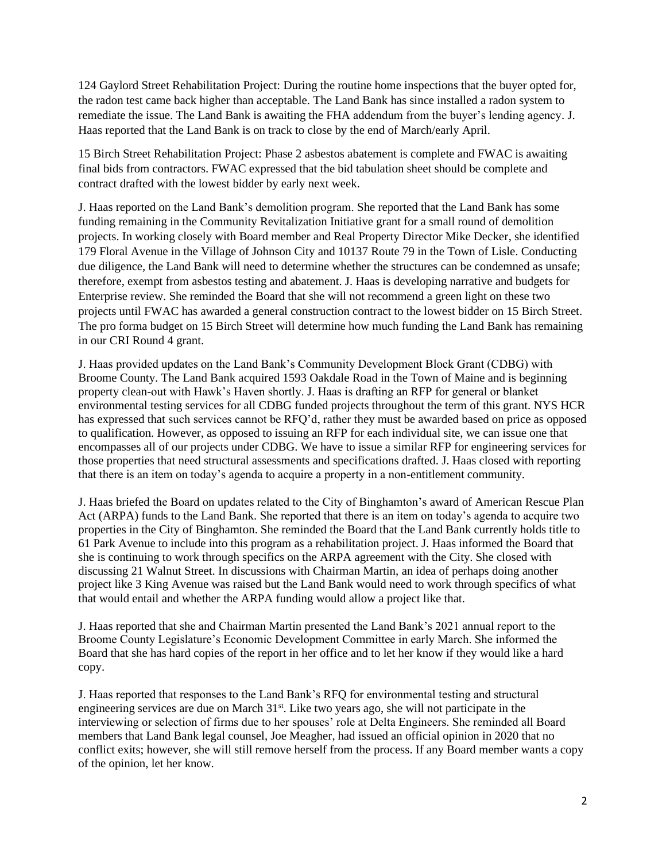124 Gaylord Street Rehabilitation Project: During the routine home inspections that the buyer opted for, the radon test came back higher than acceptable. The Land Bank has since installed a radon system to remediate the issue. The Land Bank is awaiting the FHA addendum from the buyer's lending agency. J. Haas reported that the Land Bank is on track to close by the end of March/early April.

15 Birch Street Rehabilitation Project: Phase 2 asbestos abatement is complete and FWAC is awaiting final bids from contractors. FWAC expressed that the bid tabulation sheet should be complete and contract drafted with the lowest bidder by early next week.

J. Haas reported on the Land Bank's demolition program. She reported that the Land Bank has some funding remaining in the Community Revitalization Initiative grant for a small round of demolition projects. In working closely with Board member and Real Property Director Mike Decker, she identified 179 Floral Avenue in the Village of Johnson City and 10137 Route 79 in the Town of Lisle. Conducting due diligence, the Land Bank will need to determine whether the structures can be condemned as unsafe; therefore, exempt from asbestos testing and abatement. J. Haas is developing narrative and budgets for Enterprise review. She reminded the Board that she will not recommend a green light on these two projects until FWAC has awarded a general construction contract to the lowest bidder on 15 Birch Street. The pro forma budget on 15 Birch Street will determine how much funding the Land Bank has remaining in our CRI Round 4 grant.

J. Haas provided updates on the Land Bank's Community Development Block Grant (CDBG) with Broome County. The Land Bank acquired 1593 Oakdale Road in the Town of Maine and is beginning property clean-out with Hawk's Haven shortly. J. Haas is drafting an RFP for general or blanket environmental testing services for all CDBG funded projects throughout the term of this grant. NYS HCR has expressed that such services cannot be RFQ'd, rather they must be awarded based on price as opposed to qualification. However, as opposed to issuing an RFP for each individual site, we can issue one that encompasses all of our projects under CDBG. We have to issue a similar RFP for engineering services for those properties that need structural assessments and specifications drafted. J. Haas closed with reporting that there is an item on today's agenda to acquire a property in a non-entitlement community.

J. Haas briefed the Board on updates related to the City of Binghamton's award of American Rescue Plan Act (ARPA) funds to the Land Bank. She reported that there is an item on today's agenda to acquire two properties in the City of Binghamton. She reminded the Board that the Land Bank currently holds title to 61 Park Avenue to include into this program as a rehabilitation project. J. Haas informed the Board that she is continuing to work through specifics on the ARPA agreement with the City. She closed with discussing 21 Walnut Street. In discussions with Chairman Martin, an idea of perhaps doing another project like 3 King Avenue was raised but the Land Bank would need to work through specifics of what that would entail and whether the ARPA funding would allow a project like that.

J. Haas reported that she and Chairman Martin presented the Land Bank's 2021 annual report to the Broome County Legislature's Economic Development Committee in early March. She informed the Board that she has hard copies of the report in her office and to let her know if they would like a hard copy.

J. Haas reported that responses to the Land Bank's RFQ for environmental testing and structural engineering services are due on March 31<sup>st</sup>. Like two years ago, she will not participate in the interviewing or selection of firms due to her spouses' role at Delta Engineers. She reminded all Board members that Land Bank legal counsel, Joe Meagher, had issued an official opinion in 2020 that no conflict exits; however, she will still remove herself from the process. If any Board member wants a copy of the opinion, let her know.